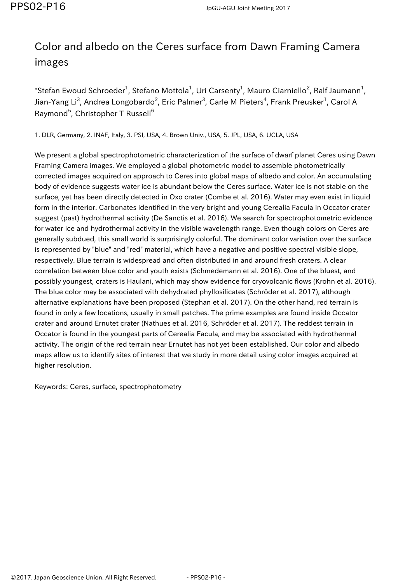## Color and albedo on the Ceres surface from Dawn Framing Camera images

\*Stefan Ewoud Schroeder<sup>1</sup>, Stefano Mottola<sup>1</sup>, Uri Carsenty<sup>1</sup>, Mauro Ciarniello<sup>2</sup>, Ralf Jaumann<sup>1</sup>, Jian-Yang Li $^3$ , Andrea Longobardo $^2$ , Eric Palmer $^3$ , Carle M Pieters $^4$ , Frank Preusker $^1$ , Carol A Raymond<sup>5</sup>, Christopher T Russell<sup>6</sup>

1. DLR, Germany, 2. INAF, Italy, 3. PSI, USA, 4. Brown Univ., USA, 5. JPL, USA, 6. UCLA, USA

We present a global spectrophotometric characterization of the surface of dwarf planet Ceres using Dawn Framing Camera images. We employed a global photometric model to assemble photometrically corrected images acquired on approach to Ceres into global maps of albedo and color. An accumulating body of evidence suggests water ice is abundant below the Ceres surface. Water ice is not stable on the surface, yet has been directly detected in Oxo crater (Combe et al. 2016). Water may even exist in liquid form in the interior. Carbonates identified in the very bright and young Cerealia Facula in Occator crater suggest (past) hydrothermal activity (De Sanctis et al. 2016). We search for spectrophotometric evidence for water ice and hydrothermal activity in the visible wavelength range. Even though colors on Ceres are generally subdued, this small world is surprisingly colorful. The dominant color variation over the surface is represented by "blue" and "red" material, which have a negative and positive spectral visible slope, respectively. Blue terrain is widespread and often distributed in and around fresh craters. A clear correlation between blue color and youth exists (Schmedemann et al. 2016). One of the bluest, and possibly youngest, craters is Haulani, which may show evidence for cryovolcanic flows (Krohn et al. 2016). The blue color may be associated with dehydrated phyllosilicates (Schröder et al. 2017), although alternative explanations have been proposed (Stephan et al. 2017). On the other hand, red terrain is found in only a few locations, usually in small patches. The prime examples are found inside Occator crater and around Ernutet crater (Nathues et al. 2016, Schröder et al. 2017). The reddest terrain in Occator is found in the youngest parts of Cerealia Facula, and may be associated with hydrothermal activity. The origin of the red terrain near Ernutet has not yet been established. Our color and albedo maps allow us to identify sites of interest that we study in more detail using color images acquired at higher resolution.

Keywords: Ceres, surface, spectrophotometry